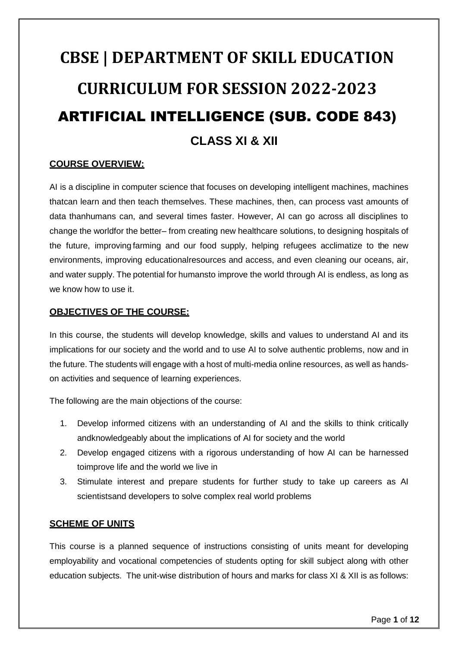# **CBSE | DEPARTMENT OF SKILL EDUCATION CURRICULUM FOR SESSION 2022-2023** ARTIFICIAL INTELLIGENCE (SUB. CODE 843) **CLASS XI & XII**

#### **COURSE OVERVIEW:**

AI is a discipline in computer science that focuses on developing intelligent machines, machines thatcan learn and then teach themselves. These machines, then, can process vast amounts of data thanhumans can, and several times faster. However, AI can go across all disciplines to change the worldfor the better– from creating new healthcare solutions, to designing hospitals of the future, improving farming and our food supply, helping refugees acclimatize to the new environments, improving educationalresources and access, and even cleaning our oceans, air, and water supply. The potential for humansto improve the world through AI is endless, as long as we know how to use it.

#### **OBJECTIVES OF THE COURSE:**

In this course, the students will develop knowledge, skills and values to understand AI and its implications for our society and the world and to use AI to solve authentic problems, now and in the future. The students will engage with a host of multi-media online resources, as well as handson activities and sequence of learning experiences.

The following are the main objections of the course:

- 1. Develop informed citizens with an understanding of AI and the skills to think critically andknowledgeably about the implications of AI for society and the world
- 2. Develop engaged citizens with a rigorous understanding of how AI can be harnessed toimprove life and the world we live in
- 3. Stimulate interest and prepare students for further study to take up careers as AI scientistsand developers to solve complex real world problems

#### **SCHEME OF UNITS**

This course is a planned sequence of instructions consisting of units meant for developing employability and vocational competencies of students opting for skill subject along with other education subjects. The unit-wise distribution of hours and marks for class XI & XII is as follows: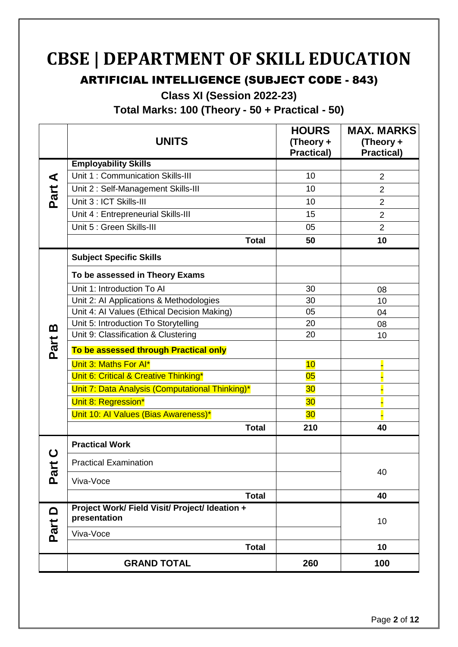## **CBSE | DEPARTMENT OF SKILL EDUCATION**

## ARTIFICIAL INTELLIGENCE (SUBJECT CODE - 843)

**Class XI (Session 2022-23)**

**Total Marks: 100 (Theory - 50 + Practical - 50)**

|                   | <b>UNITS</b>                                                   | <b>HOURS</b><br>(Theory +<br><b>Practical)</b> | <b>MAX. MARKS</b><br>(Theory +<br><b>Practical)</b> |
|-------------------|----------------------------------------------------------------|------------------------------------------------|-----------------------------------------------------|
|                   | <b>Employability Skills</b>                                    |                                                |                                                     |
| ⋖                 | Unit 1: Communication Skills-III                               | 10                                             | $\overline{2}$                                      |
| Part              | Unit 2: Self-Management Skills-III                             | 10                                             | $\overline{2}$                                      |
|                   | Unit 3 : ICT Skills-III                                        | 10                                             | $\overline{2}$                                      |
|                   | Unit 4 : Entrepreneurial Skills-III                            | 15                                             | $\overline{2}$                                      |
|                   | Unit 5 : Green Skills-III                                      | 05                                             | $\overline{2}$                                      |
|                   | <b>Total</b>                                                   | 50                                             | 10                                                  |
|                   | <b>Subject Specific Skills</b>                                 |                                                |                                                     |
|                   | To be assessed in Theory Exams                                 |                                                |                                                     |
|                   | Unit 1: Introduction To Al                                     | 30                                             | 08                                                  |
|                   | Unit 2: AI Applications & Methodologies                        | 30                                             | 10                                                  |
|                   | Unit 4: Al Values (Ethical Decision Making)                    | 05                                             | 04                                                  |
| <u>ന</u>          | Unit 5: Introduction To Storytelling                           | 20                                             | 08                                                  |
| Part              | Unit 9: Classification & Clustering                            | 20                                             | 10                                                  |
|                   | To be assessed through Practical only                          |                                                |                                                     |
|                   | Unit 3: Maths For Al*                                          | 10                                             |                                                     |
|                   | Unit 6: Critical & Creative Thinking*                          | 05                                             |                                                     |
|                   | Unit 7: Data Analysis (Computational Thinking)*                | 30                                             |                                                     |
|                   | Unit 8: Regression*                                            | 30 <sub>o</sub>                                |                                                     |
|                   | Unit 10: Al Values (Bias Awareness)*                           | 30 <sub>o</sub>                                |                                                     |
|                   | <b>Total</b>                                                   | 210                                            | 40                                                  |
|                   | <b>Practical Work</b>                                          |                                                |                                                     |
|                   | <b>Practical Examination</b>                                   |                                                | 40                                                  |
| $\mathbf{p}$      | Viva-Voce                                                      |                                                |                                                     |
|                   | <b>Total</b>                                                   |                                                | 40                                                  |
| $\mathbf{\Omega}$ | Project Work/ Field Visit/ Project/ Ideation +<br>presentation |                                                | 10                                                  |
| Part              | Viva-Voce                                                      |                                                |                                                     |
|                   | <b>Total</b>                                                   |                                                | 10                                                  |
|                   | <b>GRAND TOTAL</b>                                             | 260                                            | 100                                                 |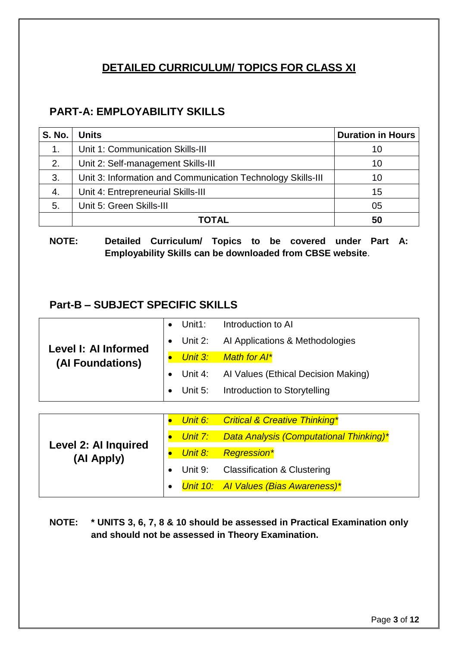#### **DETAILED CURRICULUM/ TOPICS FOR CLASS XI**

#### **PART-A: EMPLOYABILITY SKILLS**

| <b>S. No.</b> | <b>Units</b>                                                | <b>Duration in Hours</b> |
|---------------|-------------------------------------------------------------|--------------------------|
| 1.            | Unit 1: Communication Skills-III                            | 10                       |
| 2.            | Unit 2: Self-management Skills-III                          | 10                       |
| 3.            | Unit 3: Information and Communication Technology Skills-III | 10                       |
| 4.            | Unit 4: Entrepreneurial Skills-III                          | 15                       |
| 5.            | Unit 5: Green Skills-III                                    | 05                       |
|               | TOTAL                                                       | 50                       |

**NOTE: Detailed Curriculum/ Topics to be covered under Part A: Employability Skills can be downloaded from CBSE website**.

#### **Part-B – SUBJECT SPECIFIC SKILLS**

|                      | • Unit1: Introduction to Al                   |
|----------------------|-----------------------------------------------|
| Level I: Al Informed | • Unit 2: Al Applications & Methodologies     |
| (Al Foundations)     | Unit 3: Math for AI*                          |
|                      | • Unit 4: Al Values (Ethical Decision Making) |
|                      | • Unit 5: Introduction to Storytelling        |

| <b>Level 2: Al Inquired</b><br>(Al Apply) |  | Unit 6: Critical & Creative Thinking*                  |
|-------------------------------------------|--|--------------------------------------------------------|
|                                           |  | <b>Unit 7:</b> Data Analysis (Computational Thinking)* |
|                                           |  | Unit 8: Regression*                                    |
|                                           |  | Unit 9: Classification & Clustering                    |
|                                           |  | Unit 10: Al Values (Bias Awareness)*                   |

**NOTE: \* UNITS 3, 6, 7, 8 & 10 should be assessed in Practical Examination only and should not be assessed in Theory Examination.**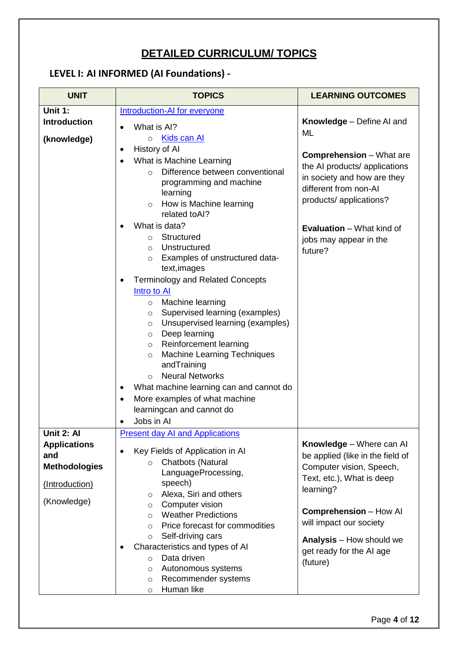## **DETAILED CURRICULUM/ TOPICS**

## **LEVEL I: AI INFORMED (AI Foundations) -**

| <b>UNIT</b>                                                                                       | <b>TOPICS</b>                                                                                                                                                                                                                                                                                                                                                                                                                                                                                                                                                                                                                                                                                                                                                                                                                                                           | <b>LEARNING OUTCOMES</b>                                                                                                                                                                                                                                               |
|---------------------------------------------------------------------------------------------------|-------------------------------------------------------------------------------------------------------------------------------------------------------------------------------------------------------------------------------------------------------------------------------------------------------------------------------------------------------------------------------------------------------------------------------------------------------------------------------------------------------------------------------------------------------------------------------------------------------------------------------------------------------------------------------------------------------------------------------------------------------------------------------------------------------------------------------------------------------------------------|------------------------------------------------------------------------------------------------------------------------------------------------------------------------------------------------------------------------------------------------------------------------|
| Unit 1:<br><b>Introduction</b><br>(knowledge)                                                     | <b>Introduction-AI for everyone</b><br>What is AI?<br>$\bullet$<br>Kids can Al<br>$\circ$<br>History of Al<br>$\bullet$<br>What is Machine Learning<br>$\bullet$<br>Difference between conventional<br>$\circ$<br>programming and machine<br>learning<br>How is Machine learning<br>$\circ$<br>related toAl?<br>What is data?<br>Structured<br>$\circ$<br>Unstructured<br>$\circ$<br>Examples of unstructured data-<br>$\circ$<br>text, images<br><b>Terminology and Related Concepts</b><br>٠<br>Intro to Al<br>Machine learning<br>$\circ$<br>Supervised learning (examples)<br>$\circ$<br>Unsupervised learning (examples)<br>$\circ$<br>Deep learning<br>$\circ$<br>Reinforcement learning<br>$\circ$<br><b>Machine Learning Techniques</b><br>$\circ$<br>andTraining<br><b>Neural Networks</b><br>$\Omega$<br>What machine learning can and cannot do<br>$\bullet$ | <b>Knowledge</b> – Define AI and<br>ML<br><b>Comprehension</b> – What are<br>the AI products/ applications<br>in society and how are they<br>different from non-Al<br>products/ applications?<br><b>Evaluation</b> – What kind of<br>jobs may appear in the<br>future? |
| Unit 2: Al<br><b>Applications</b><br>and<br><b>Methodologies</b><br>(Introduction)<br>(Knowledge) | More examples of what machine<br>$\bullet$<br>learningcan and cannot do<br>Jobs in Al<br>$\bullet$<br><b>Present day AI and Applications</b><br>Key Fields of Application in Al<br>$\bullet$<br>Chatbots (Natural<br>$\circ$<br>LanguageProcessing,<br>speech)<br>Alexa, Siri and others<br>$\circ$<br>Computer vision<br>$\circ$<br><b>Weather Predictions</b><br>$\circ$<br>Price forecast for commodities<br>$\circ$<br>Self-driving cars<br>$\circ$<br>Characteristics and types of AI<br>Data driven<br>$\circ$<br>Autonomous systems<br>$\circ$<br>Recommender systems<br>$\circ$                                                                                                                                                                                                                                                                                 | Knowledge - Where can Al<br>be applied (like in the field of<br>Computer vision, Speech,<br>Text, etc.), What is deep<br>learning?<br><b>Comprehension - How AI</b><br>will impact our society<br>Analysis - How should we<br>get ready for the AI age<br>(future)     |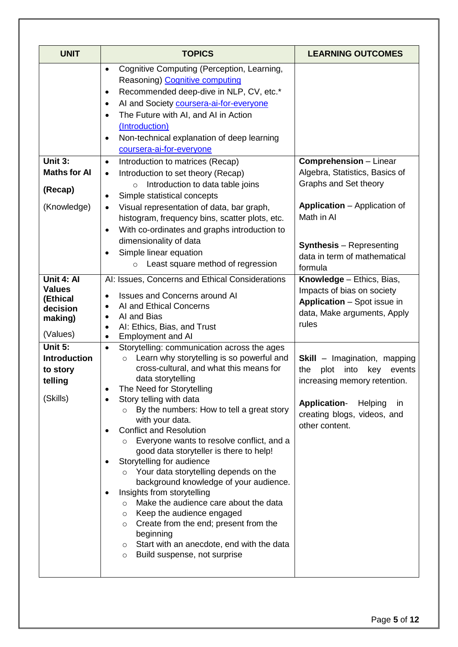| <b>UNIT</b>                                                                | <b>TOPICS</b>                                                                                                                                                                                                                                                                                                                                                                                                                                                                                                                                                                                                                                                                                                                                                                                                                                   | <b>LEARNING OUTCOMES</b>                                                                                                                                                                                         |
|----------------------------------------------------------------------------|-------------------------------------------------------------------------------------------------------------------------------------------------------------------------------------------------------------------------------------------------------------------------------------------------------------------------------------------------------------------------------------------------------------------------------------------------------------------------------------------------------------------------------------------------------------------------------------------------------------------------------------------------------------------------------------------------------------------------------------------------------------------------------------------------------------------------------------------------|------------------------------------------------------------------------------------------------------------------------------------------------------------------------------------------------------------------|
|                                                                            | Cognitive Computing (Perception, Learning,<br>$\bullet$<br>Reasoning) Cognitive computing<br>Recommended deep-dive in NLP, CV, etc.*<br>$\bullet$<br>Al and Society coursera-ai-for-everyone<br>٠<br>The Future with AI, and AI in Action<br>$\bullet$<br>(Introduction)<br>Non-technical explanation of deep learning<br>$\bullet$<br>coursera-ai-for-everyone                                                                                                                                                                                                                                                                                                                                                                                                                                                                                 |                                                                                                                                                                                                                  |
| Unit 3:<br><b>Maths for Al</b><br>(Recap)<br>(Knowledge)                   | Introduction to matrices (Recap)<br>$\bullet$<br>Introduction to set theory (Recap)<br>$\bullet$<br>Introduction to data table joins<br>$\circ$<br>Simple statistical concepts<br>٠<br>Visual representation of data, bar graph,<br>histogram, frequency bins, scatter plots, etc.<br>With co-ordinates and graphs introduction to<br>$\bullet$<br>dimensionality of data<br>Simple linear equation<br>$\bullet$<br>Least square method of regression<br>$\circ$                                                                                                                                                                                                                                                                                                                                                                                | <b>Comprehension</b> - Linear<br>Algebra, Statistics, Basics of<br>Graphs and Set theory<br><b>Application</b> – Application of<br>Math in Al<br><b>Synthesis</b> – Representing<br>data in term of mathematical |
| Unit 4: Al<br><b>Values</b><br>(Ethical<br>decision<br>making)<br>(Values) | AI: Issues, Concerns and Ethical Considerations<br><b>Issues and Concerns around AI</b><br>$\bullet$<br>AI and Ethical Concerns<br>$\bullet$<br>AI and Bias<br>AI: Ethics, Bias, and Trust<br><b>Employment and AI</b>                                                                                                                                                                                                                                                                                                                                                                                                                                                                                                                                                                                                                          | formula<br>Knowledge - Ethics, Bias,<br>Impacts of bias on society<br><b>Application</b> – Spot issue in<br>data, Make arguments, Apply<br>rules                                                                 |
| Unit 5:<br><b>Introduction</b><br>to story<br>telling<br>(Skills)          | Storytelling: communication across the ages<br>$\bullet$<br>Learn why storytelling is so powerful and<br>$\circ$<br>cross-cultural, and what this means for<br>data storytelling<br>The Need for Storytelling<br>Story telling with data<br>By the numbers: How to tell a great story<br>with your data.<br><b>Conflict and Resolution</b><br>Everyone wants to resolve conflict, and a<br>good data storyteller is there to help!<br>Storytelling for audience<br>Your data storytelling depends on the<br>$\circ$<br>background knowledge of your audience.<br>Insights from storytelling<br>Make the audience care about the data<br>O<br>Keep the audience engaged<br>O<br>Create from the end; present from the<br>$\circ$<br>beginning<br>Start with an anecdote, end with the data<br>$\circ$<br>Build suspense, not surprise<br>$\circ$ | <b>Skill</b> - Imagination, mapping<br>into<br>the<br>plot<br>key<br>events<br>increasing memory retention.<br><b>Application-</b><br>Helping<br>in<br>creating blogs, videos, and<br>other content.             |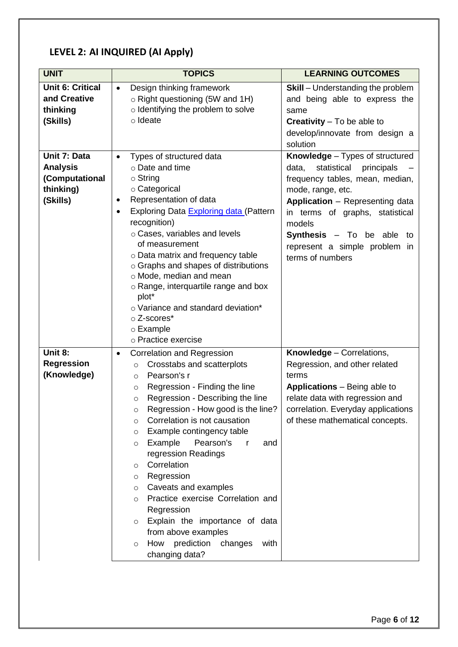### **LEVEL 2: AI INQUIRED (AI Apply)**

| <b>UNIT</b>                                                                | <b>TOPICS</b>                                                                                                                                                                                                                                                                                                                                                                                                                                                                                                                                                                                                                                                                                  | <b>LEARNING OUTCOMES</b>                                                                                                                                                                                                                                                                                        |
|----------------------------------------------------------------------------|------------------------------------------------------------------------------------------------------------------------------------------------------------------------------------------------------------------------------------------------------------------------------------------------------------------------------------------------------------------------------------------------------------------------------------------------------------------------------------------------------------------------------------------------------------------------------------------------------------------------------------------------------------------------------------------------|-----------------------------------------------------------------------------------------------------------------------------------------------------------------------------------------------------------------------------------------------------------------------------------------------------------------|
| <b>Unit 6: Critical</b><br>and Creative<br>thinking<br>(Skills)            | Design thinking framework<br>$\bullet$<br>$\circ$ Right questioning (5W and 1H)<br>o Identifying the problem to solve<br>o Ideate                                                                                                                                                                                                                                                                                                                                                                                                                                                                                                                                                              | <b>Skill</b> – Understanding the problem<br>and being able to express the<br>same<br><b>Creativity</b> $-$ To be able to<br>develop/innovate from design a<br>solution                                                                                                                                          |
| Unit 7: Data<br><b>Analysis</b><br>(Computational<br>thinking)<br>(Skills) | Types of structured data<br>o Date and time<br>$\circ$ String<br>○ Categorical<br>Representation of data<br>٠<br>Exploring Data Exploring data (Pattern<br>recognition)<br>o Cases, variables and levels<br>of measurement<br>o Data matrix and frequency table<br>o Graphs and shapes of distributions<br>o Mode, median and mean<br>o Range, interquartile range and box<br>plot*<br>o Variance and standard deviation*<br>$\circ$ Z-scores*<br>$\circ$ Example<br>o Practice exercise                                                                                                                                                                                                       | <b>Knowledge</b> – Types of structured<br>data,<br>statistical<br>principals<br>frequency tables, mean, median,<br>mode, range, etc.<br>Application - Representing data<br>in terms of graphs, statistical<br>models<br><b>Synthesis</b> $-$ To be able to<br>represent a simple problem in<br>terms of numbers |
| Unit 8:<br><b>Regression</b><br>(Knowledge)                                | Correlation and Regression<br>٠<br>Crosstabs and scatterplots<br>$\circ$<br>Pearson's r<br>$\circ$<br>Regression - Finding the line<br>$\circ$<br>Regression - Describing the line<br>$\circ$<br>Regression - How good is the line?<br>$\circ$<br>Correlation is not causation<br>$\circ$<br>Example contingency table<br>$\circ$<br>Example<br>Pearson's<br>r<br>and<br>$\circ$<br>regression Readings<br>Correlation<br>$\circ$<br>Regression<br>$\circ$<br>Caveats and examples<br>$\circ$<br>Practice exercise Correlation and<br>$\circ$<br>Regression<br>Explain the importance of data<br>$\circ$<br>from above examples<br>How prediction changes<br>with<br>$\circ$<br>changing data? | <b>Knowledge</b> – Correlations,<br>Regression, and other related<br>terms<br><b>Applications</b> – Being able to<br>relate data with regression and<br>correlation. Everyday applications<br>of these mathematical concepts.                                                                                   |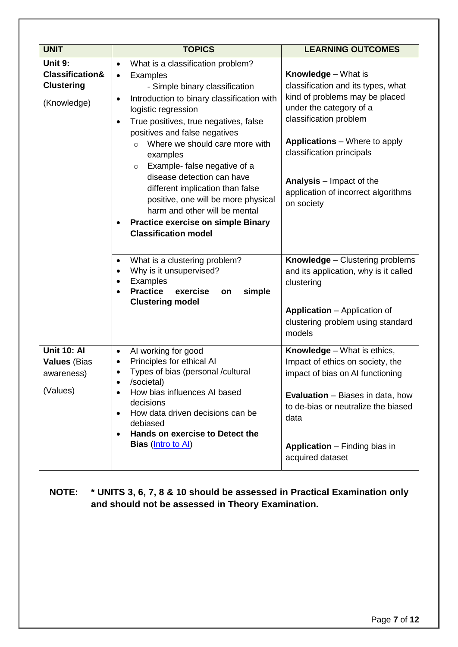| <b>UNIT</b>                                                               | <b>TOPICS</b>                                                                                                                                                                                                                                                                                                                                                                                                                                                                                                                                                                                                                                                                                                                                                            | <b>LEARNING OUTCOMES</b>                                                                                                                                                                                                                                                                                                                                                                                       |
|---------------------------------------------------------------------------|--------------------------------------------------------------------------------------------------------------------------------------------------------------------------------------------------------------------------------------------------------------------------------------------------------------------------------------------------------------------------------------------------------------------------------------------------------------------------------------------------------------------------------------------------------------------------------------------------------------------------------------------------------------------------------------------------------------------------------------------------------------------------|----------------------------------------------------------------------------------------------------------------------------------------------------------------------------------------------------------------------------------------------------------------------------------------------------------------------------------------------------------------------------------------------------------------|
| Unit 9:<br><b>Classification&amp;</b><br><b>Clustering</b><br>(Knowledge) | What is a classification problem?<br>$\bullet$<br>Examples<br>$\bullet$<br>- Simple binary classification<br>Introduction to binary classification with<br>$\bullet$<br>logistic regression<br>True positives, true negatives, false<br>$\bullet$<br>positives and false negatives<br>Where we should care more with<br>$\bigcap$<br>examples<br>Example-false negative of a<br>$\circ$<br>disease detection can have<br>different implication than false<br>positive, one will be more physical<br>harm and other will be mental<br><b>Practice exercise on simple Binary</b><br>٠<br><b>Classification model</b><br>What is a clustering problem?<br>$\bullet$<br>Why is it unsupervised?<br>$\bullet$<br>Examples<br>٠<br><b>Practice</b><br>simple<br>exercise<br>on | <b>Knowledge</b> – What is<br>classification and its types, what<br>kind of problems may be placed<br>under the category of a<br>classification problem<br><b>Applications</b> – Where to apply<br>classification principals<br><b>Analysis</b> – Impact of the<br>application of incorrect algorithms<br>on society<br>Knowledge - Clustering problems<br>and its application, why is it called<br>clustering |
|                                                                           | <b>Clustering model</b>                                                                                                                                                                                                                                                                                                                                                                                                                                                                                                                                                                                                                                                                                                                                                  | <b>Application</b> – Application of<br>clustering problem using standard<br>models                                                                                                                                                                                                                                                                                                                             |
| <b>Unit 10: Al</b><br><b>Values (Bias</b><br>awareness)<br>(Values)       | AI working for good<br>$\bullet$<br>Principles for ethical Al<br>٠<br>Types of bias (personal /cultural<br>٠<br>/societal)<br>How bias influences AI based<br>decisions<br>How data driven decisions can be<br>$\bullet$<br>debiased<br>Hands on exercise to Detect the<br><b>Bias</b> ( <i>Intro to AI</i> )                                                                                                                                                                                                                                                                                                                                                                                                                                                            | Knowledge - What is ethics,<br>Impact of ethics on society, the<br>impact of bias on AI functioning<br><b>Evaluation</b> – Biases in data, how<br>to de-bias or neutralize the biased<br>data<br><b>Application</b> – Finding bias in<br>acquired dataset                                                                                                                                                      |

#### **NOTE: \* UNITS 3, 6, 7, 8 & 10 should be assessed in Practical Examination only and should not be assessed in Theory Examination.**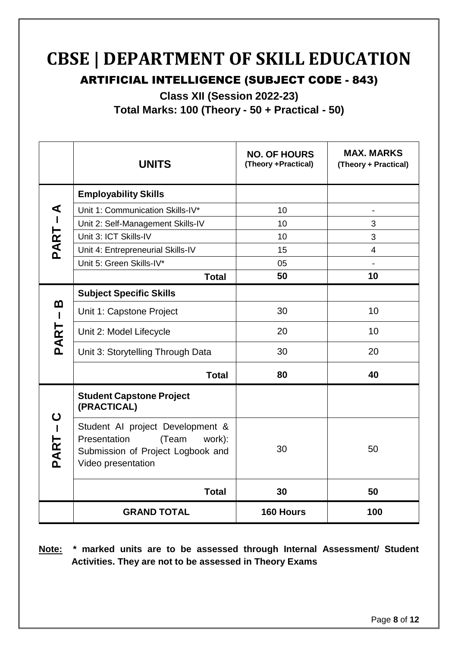## **CBSE | DEPARTMENT OF SKILL EDUCATION**

### ARTIFICIAL INTELLIGENCE (SUBJECT CODE - 843)

**Class XII (Session 2022-23)**

**Total Marks: 100 (Theory - 50 + Practical - 50)**

|                   | <b>UNITS</b>                                                                                                                   | <b>NO. OF HOURS</b><br>(Theory +Practical) | <b>MAX. MARKS</b><br>(Theory + Practical) |
|-------------------|--------------------------------------------------------------------------------------------------------------------------------|--------------------------------------------|-------------------------------------------|
|                   | <b>Employability Skills</b>                                                                                                    |                                            |                                           |
| ⋖                 | Unit 1: Communication Skills-IV*                                                                                               | 10                                         |                                           |
| <b>PART-</b>      | Unit 2: Self-Management Skills-IV                                                                                              | 10                                         | 3                                         |
|                   | Unit 3: ICT Skills-IV                                                                                                          | 10                                         | 3                                         |
|                   | Unit 4: Entrepreneurial Skills-IV                                                                                              | 15                                         | $\overline{4}$                            |
|                   | Unit 5: Green Skills-IV*                                                                                                       | 05                                         |                                           |
|                   | <b>Total</b>                                                                                                                   | 50                                         | 10                                        |
|                   | <b>Subject Specific Skills</b>                                                                                                 |                                            |                                           |
| m<br>$\mathbf{I}$ | Unit 1: Capstone Project                                                                                                       | 30                                         | 10                                        |
| PART              | Unit 2: Model Lifecycle                                                                                                        | 20                                         | 10                                        |
|                   | Unit 3: Storytelling Through Data                                                                                              | 30                                         | 20                                        |
|                   | <b>Total</b>                                                                                                                   | 80                                         | 40                                        |
|                   | <b>Student Capstone Project</b><br>(PRACTICAL)                                                                                 |                                            |                                           |
| ပ<br>PART-        | Student AI project Development &<br>Presentation<br>(Team<br>work):<br>Submission of Project Logbook and<br>Video presentation | 30                                         | 50                                        |
|                   | <b>Total</b>                                                                                                                   | 30                                         | 50                                        |
|                   | <b>GRAND TOTAL</b>                                                                                                             | 160 Hours                                  | 100                                       |

**Note: \* marked units are to be assessed through Internal Assessment/ Student Activities. They are not to be assessed in Theory Exams**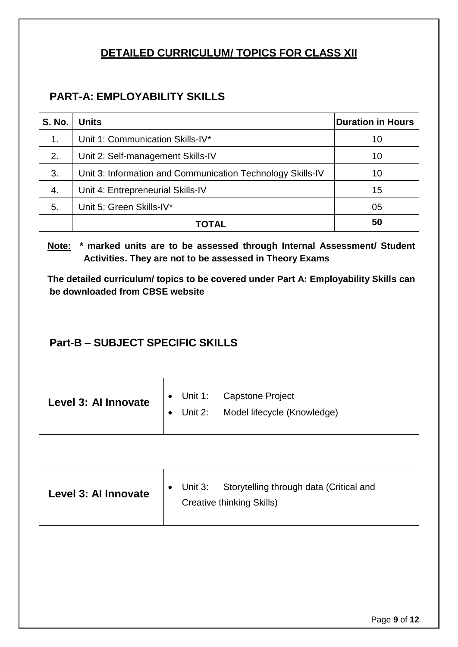#### **DETAILED CURRICULUM/ TOPICS FOR CLASS XII**

#### **PART-A: EMPLOYABILITY SKILLS**

| <b>S. No.</b> | <b>Units</b>                                               | <b>Duration in Hours</b> |
|---------------|------------------------------------------------------------|--------------------------|
| 1.            | Unit 1: Communication Skills-IV*                           | 10                       |
| 2.            | Unit 2: Self-management Skills-IV                          | 10                       |
| 3.            | Unit 3: Information and Communication Technology Skills-IV | 10                       |
| 4.            | Unit 4: Entrepreneurial Skills-IV                          | 15                       |
| 5.            | Unit 5: Green Skills-IV*                                   | 05                       |
|               | <b>TOTAL</b>                                               | 50                       |

**Note: \* marked units are to be assessed through Internal Assessment/ Student Activities. They are not to be assessed in Theory Exams** 

**The detailed curriculum/ topics to be covered under Part A: Employability Skills can be downloaded from CBSE website**

#### **Part-B – SUBJECT SPECIFIC SKILLS**

| Level 3: Al Innovate | • Unit 1: Capstone Project<br>• Unit 2: Model lifecycle (Knowledge) |
|----------------------|---------------------------------------------------------------------|
|                      |                                                                     |

| Level 3: Al Innovate | $\bullet$ Unit 3: Storytelling through data (Critical and<br><b>Creative thinking Skills)</b> |
|----------------------|-----------------------------------------------------------------------------------------------|
|                      |                                                                                               |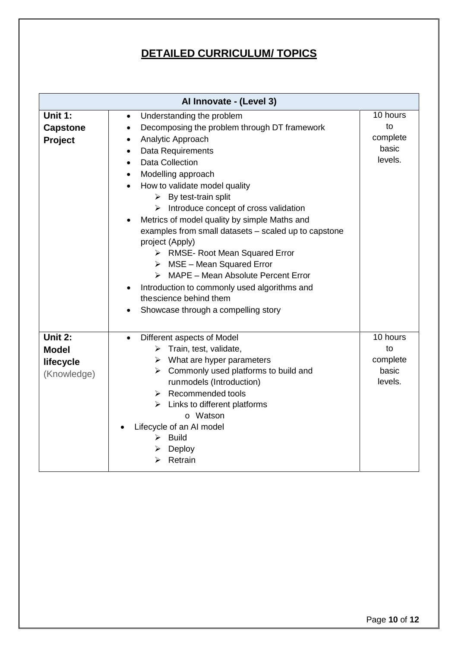### **DETAILED CURRICULUM/ TOPICS**

| Al Innovate - (Level 3) |                                                        |                       |  |
|-------------------------|--------------------------------------------------------|-----------------------|--|
| Unit 1:                 | Understanding the problem<br>$\bullet$                 | $\overline{10}$ hours |  |
| <b>Capstone</b>         | Decomposing the problem through DT framework           | to                    |  |
| <b>Project</b>          | Analytic Approach                                      | complete              |  |
|                         | <b>Data Requirements</b><br>$\bullet$                  | basic                 |  |
|                         | <b>Data Collection</b><br>$\bullet$                    | levels.               |  |
|                         | Modelling approach<br>٠                                |                       |  |
|                         | How to validate model quality                          |                       |  |
|                         | $\triangleright$ By test-train split                   |                       |  |
|                         | $\triangleright$ Introduce concept of cross validation |                       |  |
|                         | Metrics of model quality by simple Maths and           |                       |  |
|                         | examples from small datasets - scaled up to capstone   |                       |  |
|                         | project (Apply)                                        |                       |  |
|                         | > RMSE- Root Mean Squared Error                        |                       |  |
|                         | $\triangleright$ MSE - Mean Squared Error              |                       |  |
|                         | $\triangleright$ MAPE – Mean Absolute Percent Error    |                       |  |
|                         | Introduction to commonly used algorithms and           |                       |  |
|                         | thescience behind them                                 |                       |  |
|                         | Showcase through a compelling story                    |                       |  |
|                         |                                                        |                       |  |
| Unit 2:                 | Different aspects of Model<br>$\bullet$                | 10 hours              |  |
| <b>Model</b>            | $\triangleright$ Train, test, validate,                | to                    |  |
| lifecycle               | $\triangleright$ What are hyper parameters             | complete              |  |
| (Knowledge)             | $\triangleright$ Commonly used platforms to build and  | basic                 |  |
|                         | runmodels (Introduction)                               | levels.               |  |
|                         | $\triangleright$ Recommended tools                     |                       |  |
|                         | $\triangleright$ Links to different platforms          |                       |  |
|                         | o Watson                                               |                       |  |
|                         | Lifecycle of an AI model<br>$\triangleright$ Build     |                       |  |
|                         | $\triangleright$ Deploy                                |                       |  |
|                         | $\triangleright$ Retrain                               |                       |  |
|                         |                                                        |                       |  |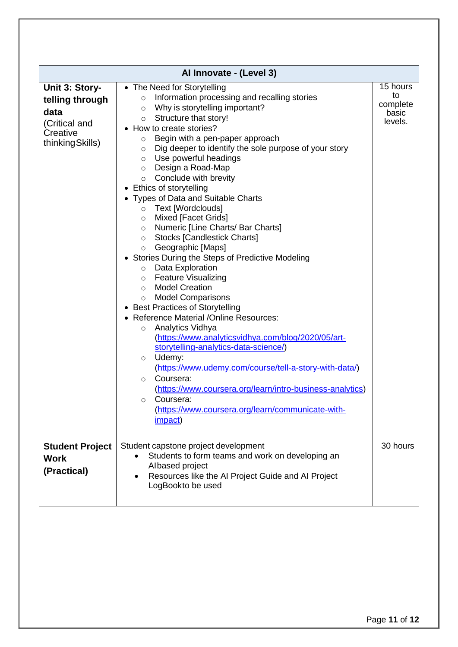| Al Innovate - (Level 3)                                                                    |                                                                                                                                                                                                                                                                                                                                                                                                                                                                                                                                                                                                                                                                                                                                                                                                                                                                                                                                                                                                                                                                                                                                                                                                                                                                                                                                                                                  |                                                |  |
|--------------------------------------------------------------------------------------------|----------------------------------------------------------------------------------------------------------------------------------------------------------------------------------------------------------------------------------------------------------------------------------------------------------------------------------------------------------------------------------------------------------------------------------------------------------------------------------------------------------------------------------------------------------------------------------------------------------------------------------------------------------------------------------------------------------------------------------------------------------------------------------------------------------------------------------------------------------------------------------------------------------------------------------------------------------------------------------------------------------------------------------------------------------------------------------------------------------------------------------------------------------------------------------------------------------------------------------------------------------------------------------------------------------------------------------------------------------------------------------|------------------------------------------------|--|
| Unit 3: Story-<br>telling through<br>data<br>(Critical and<br>Creative<br>thinking Skills) | • The Need for Storytelling<br>Information processing and recalling stories<br>$\circ$<br>Why is storytelling important?<br>$\circ$<br>$\circ$ Structure that story!<br>• How to create stories?<br>Begin with a pen-paper approach<br>$\circ$<br>Dig deeper to identify the sole purpose of your story<br>$\circ$<br>Use powerful headings<br>$\circ$<br>Design a Road-Map<br>$\circ$<br>$\circ$ Conclude with brevity<br>• Ethics of storytelling<br>• Types of Data and Suitable Charts<br>Text [Wordclouds]<br>$\circ$<br>Mixed [Facet Grids]<br>$\circ$<br>Numeric [Line Charts/ Bar Charts]<br>$\circ$<br><b>Stocks [Candlestick Charts]</b><br>$\circ$<br>o Geographic [Maps]<br>Stories During the Steps of Predictive Modeling<br>Data Exploration<br>$\circ$<br><b>Feature Visualizing</b><br>$\circ$<br><b>Model Creation</b><br>$\circ$<br><b>Model Comparisons</b><br>$\circ$<br>• Best Practices of Storytelling<br><b>Reference Material /Online Resources:</b><br>Analytics Vidhya<br>$\circ$<br>(https://www.analyticsvidhya.com/blog/2020/05/art-<br>storytelling-analytics-data-science/)<br>Udemy:<br>$\circ$<br>(https://www.udemy.com/course/tell-a-story-with-data/)<br>Coursera:<br>$\Omega$<br>(https://www.coursera.org/learn/intro-business-analytics)<br>Coursera:<br>$\circ$<br>(https://www.coursera.org/learn/communicate-with-<br><i>impact)</i> | 15 hours<br>to<br>complete<br>basic<br>levels. |  |
| <b>Student Project</b><br><b>Work</b><br>(Practical)                                       | Student capstone project development<br>Students to form teams and work on developing an<br>Albased project<br>Resources like the AI Project Guide and AI Project<br>LogBookto be used                                                                                                                                                                                                                                                                                                                                                                                                                                                                                                                                                                                                                                                                                                                                                                                                                                                                                                                                                                                                                                                                                                                                                                                           | 30 hours                                       |  |